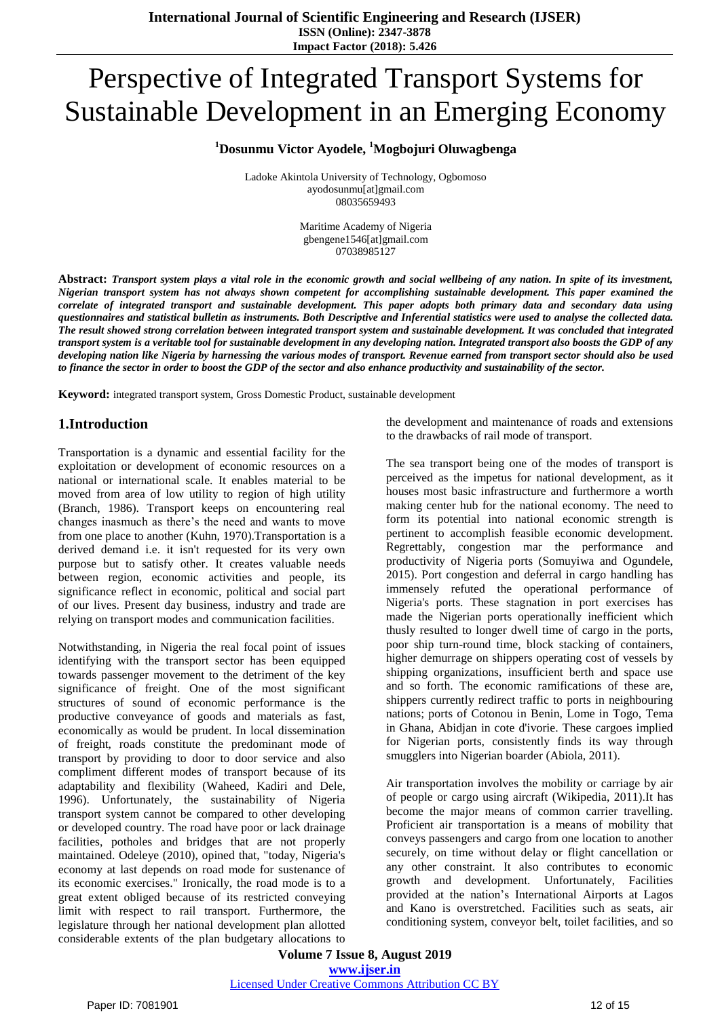# Perspective of Integrated Transport Systems for Sustainable Development in an Emerging Economy

#### **<sup>1</sup>Dosunmu Victor Ayodele, <sup>1</sup>Mogbojuri Oluwagbenga**

Ladoke Akintola University of Technology, Ogbomoso ayodosunmu[at]gmail.com 08035659493

> Maritime Academy of Nigeria gbengene1546[at]gmail.com 07038985127

**Abstract:** *Transport system plays a vital role in the economic growth and social wellbeing of any nation. In spite of its investment, Nigerian transport system has not always shown competent for accomplishing sustainable development. This paper examined the correlate of integrated transport and sustainable development. This paper adopts both primary data and secondary data using questionnaires and statistical bulletin as instruments. Both Descriptive and Inferential statistics were used to analyse the collected data. The result showed strong correlation between integrated transport system and sustainable development. It was concluded that integrated transport system is a veritable tool for sustainable development in any developing nation. Integrated transport also boosts the GDP of any developing nation like Nigeria by harnessing the various modes of transport. Revenue earned from transport sector should also be used to finance the sector in order to boost the GDP of the sector and also enhance productivity and sustainability of the sector.*

**Keyword:** integrated transport system, Gross Domestic Product, sustainable development

### **1.Introduction**

Transportation is a dynamic and essential facility for the exploitation or development of economic resources on a national or international scale. It enables material to be moved from area of low utility to region of high utility (Branch, 1986). Transport keeps on encountering real changes inasmuch as there's the need and wants to move from one place to another (Kuhn, 1970).Transportation is a derived demand i.e. it isn't requested for its very own purpose but to satisfy other. It creates valuable needs between region, economic activities and people, its significance reflect in economic, political and social part of our lives. Present day business, industry and trade are relying on transport modes and communication facilities.

Notwithstanding, in Nigeria the real focal point of issues identifying with the transport sector has been equipped towards passenger movement to the detriment of the key significance of freight. One of the most significant structures of sound of economic performance is the productive conveyance of goods and materials as fast, economically as would be prudent. In local dissemination of freight, roads constitute the predominant mode of transport by providing to door to door service and also compliment different modes of transport because of its adaptability and flexibility (Waheed, Kadiri and Dele, 1996). Unfortunately, the sustainability of Nigeria transport system cannot be compared to other developing or developed country. The road have poor or lack drainage facilities, potholes and bridges that are not properly maintained. Odeleye (2010), opined that, "today, Nigeria's economy at last depends on road mode for sustenance of its economic exercises." Ironically, the road mode is to a great extent obliged because of its restricted conveying limit with respect to rail transport. Furthermore, the legislature through her national development plan allotted considerable extents of the plan budgetary allocations to

the development and maintenance of roads and extensions to the drawbacks of rail mode of transport.

The sea transport being one of the modes of transport is perceived as the impetus for national development, as it houses most basic infrastructure and furthermore a worth making center hub for the national economy. The need to form its potential into national economic strength is pertinent to accomplish feasible economic development. Regrettably, congestion mar the performance and productivity of Nigeria ports (Somuyiwa and Ogundele, 2015). Port congestion and deferral in cargo handling has immensely refuted the operational performance of Nigeria's ports. These stagnation in port exercises has made the Nigerian ports operationally inefficient which thusly resulted to longer dwell time of cargo in the ports, poor ship turn-round time, block stacking of containers, higher demurrage on shippers operating cost of vessels by shipping organizations, insufficient berth and space use and so forth. The economic ramifications of these are, shippers currently redirect traffic to ports in neighbouring nations; ports of Cotonou in Benin, Lome in Togo, Tema in Ghana, Abidjan in cote d'ivorie. These cargoes implied for Nigerian ports, consistently finds its way through smugglers into Nigerian boarder (Abiola, 2011).

Air transportation involves the mobility or carriage by air of people or cargo using aircraft (Wikipedia, 2011).It has become the major means of common carrier travelling. Proficient air transportation is a means of mobility that conveys passengers and cargo from one location to another securely, on time without delay or flight cancellation or any other constraint. It also contributes to economic growth and development. Unfortunately, Facilities provided at the nation's International Airports at Lagos and Kano is overstretched. Facilities such as seats, air conditioning system, conveyor belt, toilet facilities, and so

**Volume 7 Issue 8, August 2019 www.ijser.in** Licensed Under Creative Commons Attribution CC BY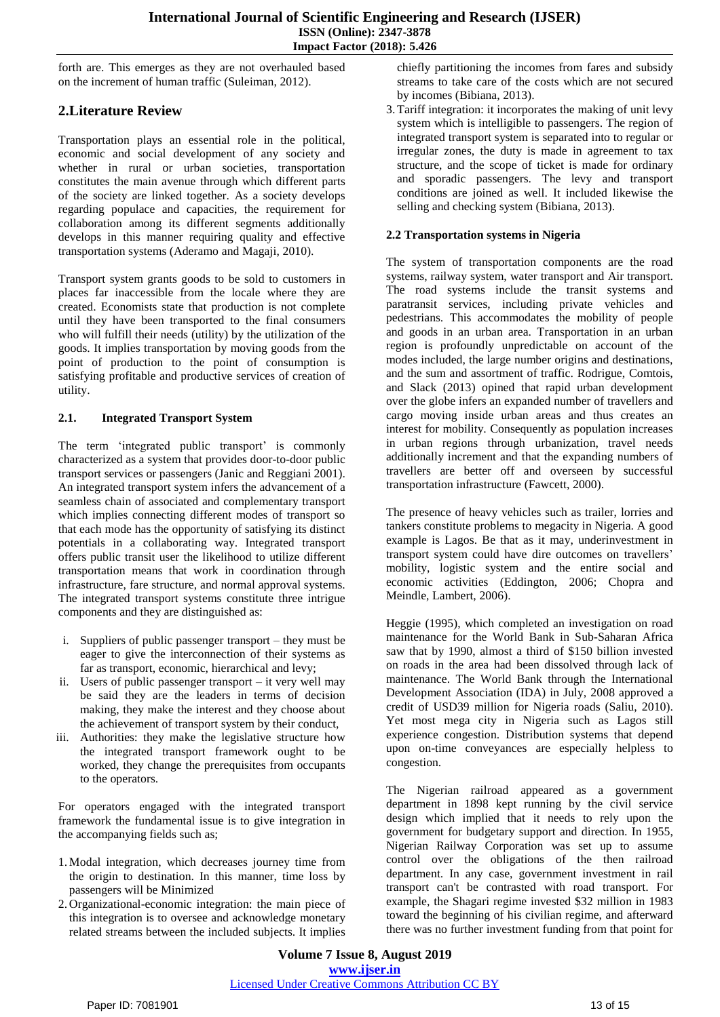forth are. This emerges as they are not overhauled based on the increment of human traffic (Suleiman, 2012).

## **2.Literature Review**

Transportation plays an essential role in the political, economic and social development of any society and whether in rural or urban societies, transportation constitutes the main avenue through which different parts of the society are linked together. As a society develops regarding populace and capacities, the requirement for collaboration among its different segments additionally develops in this manner requiring quality and effective transportation systems (Aderamo and Magaji, 2010).

Transport system grants goods to be sold to customers in places far inaccessible from the locale where they are created. Economists state that production is not complete until they have been transported to the final consumers who will fulfill their needs (utility) by the utilization of the goods. It implies transportation by moving goods from the point of production to the point of consumption is satisfying profitable and productive services of creation of utility.

#### **2.1. Integrated Transport System**

The term 'integrated public transport' is commonly characterized as a system that provides door-to-door public transport services or passengers (Janic and Reggiani 2001). An integrated transport system infers the advancement of a seamless chain of associated and complementary transport which implies connecting different modes of transport so that each mode has the opportunity of satisfying its distinct potentials in a collaborating way. Integrated transport offers public transit user the likelihood to utilize different transportation means that work in coordination through infrastructure, fare structure, and normal approval systems. The integrated transport systems constitute three intrigue components and they are distinguished as:

- i. Suppliers of public passenger transport they must be eager to give the interconnection of their systems as far as transport, economic, hierarchical and levy;
- ii. Users of public passenger transport it very well may be said they are the leaders in terms of decision making, they make the interest and they choose about the achievement of transport system by their conduct,
- iii. Authorities: they make the legislative structure how the integrated transport framework ought to be worked, they change the prerequisites from occupants to the operators.

For operators engaged with the integrated transport framework the fundamental issue is to give integration in the accompanying fields such as;

- 1.Modal integration, which decreases journey time from the origin to destination. In this manner, time loss by passengers will be Minimized
- 2. Organizational-economic integration: the main piece of this integration is to oversee and acknowledge monetary related streams between the included subjects. It implies

chiefly partitioning the incomes from fares and subsidy streams to take care of the costs which are not secured by incomes (Bibiana, 2013).

3.Tariff integration: it incorporates the making of unit levy system which is intelligible to passengers. The region of integrated transport system is separated into to regular or irregular zones, the duty is made in agreement to tax structure, and the scope of ticket is made for ordinary and sporadic passengers. The levy and transport conditions are joined as well. It included likewise the selling and checking system (Bibiana, 2013).

#### **2.2 Transportation systems in Nigeria**

The system of transportation components are the road systems, railway system, water transport and Air transport. The road systems include the transit systems and paratransit services, including private vehicles and pedestrians. This accommodates the mobility of people and goods in an urban area. Transportation in an urban region is profoundly unpredictable on account of the modes included, the large number origins and destinations, and the sum and assortment of traffic. Rodrigue, Comtois, and Slack (2013) opined that rapid urban development over the globe infers an expanded number of travellers and cargo moving inside urban areas and thus creates an interest for mobility. Consequently as population increases in urban regions through urbanization, travel needs additionally increment and that the expanding numbers of travellers are better off and overseen by successful transportation infrastructure (Fawcett, 2000).

The presence of heavy vehicles such as trailer, lorries and tankers constitute problems to megacity in Nigeria. A good example is Lagos. Be that as it may, underinvestment in transport system could have dire outcomes on travellers' mobility, logistic system and the entire social and economic activities (Eddington, 2006; Chopra and Meindle, Lambert, 2006).

Heggie (1995), which completed an investigation on road maintenance for the World Bank in Sub-Saharan Africa saw that by 1990, almost a third of \$150 billion invested on roads in the area had been dissolved through lack of maintenance. The World Bank through the International Development Association (IDA) in July, 2008 approved a credit of USD39 million for Nigeria roads (Saliu, 2010). Yet most mega city in Nigeria such as Lagos still experience congestion. Distribution systems that depend upon on-time conveyances are especially helpless to congestion.

The Nigerian railroad appeared as a government department in 1898 kept running by the civil service design which implied that it needs to rely upon the government for budgetary support and direction. In 1955, Nigerian Railway Corporation was set up to assume control over the obligations of the then railroad department. In any case, government investment in rail transport can't be contrasted with road transport. For example, the Shagari regime invested \$32 million in 1983 toward the beginning of his civilian regime, and afterward there was no further investment funding from that point for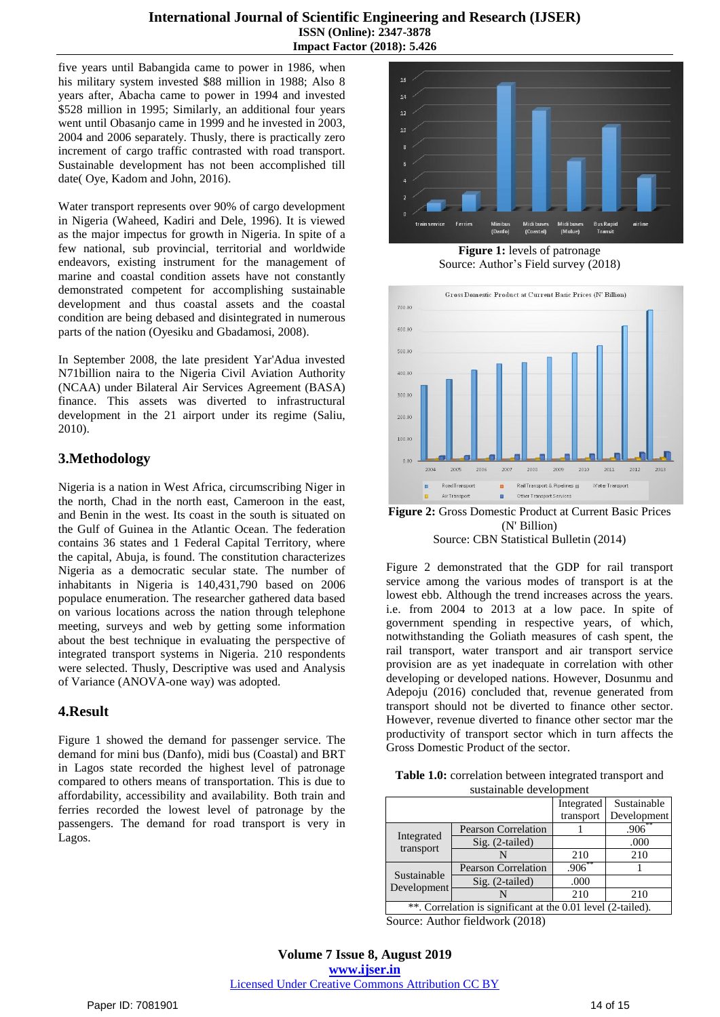five years until Babangida came to power in 1986, when his military system invested \$88 million in 1988; Also 8 years after, Abacha came to power in 1994 and invested \$528 million in 1995; Similarly, an additional four years went until Obasanjo came in 1999 and he invested in 2003, 2004 and 2006 separately. Thusly, there is practically zero increment of cargo traffic contrasted with road transport. Sustainable development has not been accomplished till date( Oye, Kadom and John, 2016).

Water transport represents over 90% of cargo development in Nigeria (Waheed, Kadiri and Dele, 1996). It is viewed as the major impectus for growth in Nigeria. In spite of a few national, sub provincial, territorial and worldwide endeavors, existing instrument for the management of marine and coastal condition assets have not constantly demonstrated competent for accomplishing sustainable development and thus coastal assets and the coastal condition are being debased and disintegrated in numerous parts of the nation (Oyesiku and Gbadamosi, 2008).

In September 2008, the late president Yar'Adua invested N71billion naira to the Nigeria Civil Aviation Authority (NCAA) under Bilateral Air Services Agreement (BASA) finance. This assets was diverted to infrastructural development in the 21 airport under its regime (Saliu, 2010).

# **3.Methodology**

Nigeria is a nation in West Africa, circumscribing Niger in the north, Chad in the north east, Cameroon in the east, and Benin in the west. Its coast in the south is situated on the Gulf of Guinea in the Atlantic Ocean. The federation contains 36 states and 1 Federal Capital Territory, where the capital, Abuja, is found. The constitution characterizes Nigeria as a democratic secular state. The number of inhabitants in Nigeria is 140,431,790 based on 2006 populace enumeration. The researcher gathered data based on various locations across the nation through telephone meeting, surveys and web by getting some information about the best technique in evaluating the perspective of integrated transport systems in Nigeria. 210 respondents were selected. Thusly, Descriptive was used and Analysis of Variance (ANOVA-one way) was adopted.

## **4.Result**

Figure 1 showed the demand for passenger service. The demand for mini bus (Danfo), midi bus (Coastal) and BRT in Lagos state recorded the highest level of patronage compared to others means of transportation. This is due to affordability, accessibility and availability. Both train and ferries recorded the lowest level of patronage by the passengers. The demand for road transport is very in Lagos.



**Figure 1:** levels of patronage Source: Author's Field survey (2018)



**Figure 2:** Gross Domestic Product at Current Basic Prices (N' Billion) Source: CBN Statistical Bulletin (2014)

Figure 2 demonstrated that the GDP for rail transport service among the various modes of transport is at the lowest ebb. Although the trend increases across the years. i.e. from 2004 to 2013 at a low pace. In spite of government spending in respective years, of which, notwithstanding the Goliath measures of cash spent, the rail transport, water transport and air transport service provision are as yet inadequate in correlation with other developing or developed nations. However, Dosunmu and Adepoju (2016) concluded that, revenue generated from transport should not be diverted to finance other sector. However, revenue diverted to finance other sector mar the productivity of transport sector which in turn affects the Gross Domestic Product of the sector.

| Table 1.0: correlation between integrated transport and |  |  |
|---------------------------------------------------------|--|--|
| sustainable development                                 |  |  |

| 30.30                                                        |                            |            |             |
|--------------------------------------------------------------|----------------------------|------------|-------------|
|                                                              |                            | Integrated | Sustainable |
|                                                              |                            | transport  | Development |
| Integrated<br>transport                                      | <b>Pearson Correlation</b> |            | .906        |
|                                                              | Sig. (2-tailed)            |            | .000        |
|                                                              |                            | 210        | 210         |
| Sustainable<br>Development                                   | <b>Pearson Correlation</b> | $.906***$  |             |
|                                                              | Sig. (2-tailed)            | .000       |             |
|                                                              |                            | 210        | 210         |
| **. Correlation is significant at the 0.01 level (2-tailed). |                            |            |             |

Source: Author fieldwork (2018)